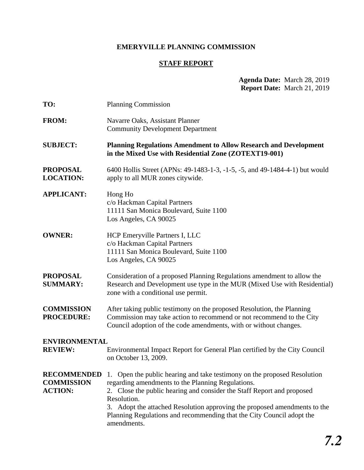# **EMERYVILLE PLANNING COMMISSION**

# **STAFF REPORT**

**Agenda Date:** March 28, 2019 **Report Date:** March 21, 2019

| TO:                                                       | <b>Planning Commission</b>                                                                                                                                                                                                                                                                                                                                                                     |
|-----------------------------------------------------------|------------------------------------------------------------------------------------------------------------------------------------------------------------------------------------------------------------------------------------------------------------------------------------------------------------------------------------------------------------------------------------------------|
| <b>FROM:</b>                                              | Navarre Oaks, Assistant Planner<br><b>Community Development Department</b>                                                                                                                                                                                                                                                                                                                     |
| <b>SUBJECT:</b>                                           | <b>Planning Regulations Amendment to Allow Research and Development</b><br>in the Mixed Use with Residential Zone (ZOTEXT19-001)                                                                                                                                                                                                                                                               |
| <b>PROPOSAL</b><br><b>LOCATION:</b>                       | 6400 Hollis Street (APNs: 49-1483-1-3, -1-5, -5, and 49-1484-4-1) but would<br>apply to all MUR zones citywide.                                                                                                                                                                                                                                                                                |
| <b>APPLICANT:</b>                                         | Hong Ho<br>c/o Hackman Capital Partners<br>11111 San Monica Boulevard, Suite 1100<br>Los Angeles, CA 90025                                                                                                                                                                                                                                                                                     |
| <b>OWNER:</b>                                             | HCP Emeryville Partners I, LLC<br>c/o Hackman Capital Partners<br>11111 San Monica Boulevard, Suite 1100<br>Los Angeles, CA 90025                                                                                                                                                                                                                                                              |
| <b>PROPOSAL</b><br><b>SUMMARY:</b>                        | Consideration of a proposed Planning Regulations amendment to allow the<br>Research and Development use type in the MUR (Mixed Use with Residential)<br>zone with a conditional use permit.                                                                                                                                                                                                    |
| <b>COMMISSION</b><br><b>PROCEDURE:</b>                    | After taking public testimony on the proposed Resolution, the Planning<br>Commission may take action to recommend or not recommend to the City<br>Council adoption of the code amendments, with or without changes.                                                                                                                                                                            |
| <b>ENVIRONMENTAL</b><br><b>REVIEW:</b>                    | Environmental Impact Report for General Plan certified by the City Council<br>on October 13, 2009.                                                                                                                                                                                                                                                                                             |
| <b>RECOMMENDED</b><br><b>COMMISSION</b><br><b>ACTION:</b> | Open the public hearing and take testimony on the proposed Resolution<br>1.<br>regarding amendments to the Planning Regulations.<br>2. Close the public hearing and consider the Staff Report and proposed<br>Resolution.<br>3. Adopt the attached Resolution approving the proposed amendments to the<br>Planning Regulations and recommending that the City Council adopt the<br>amendments. |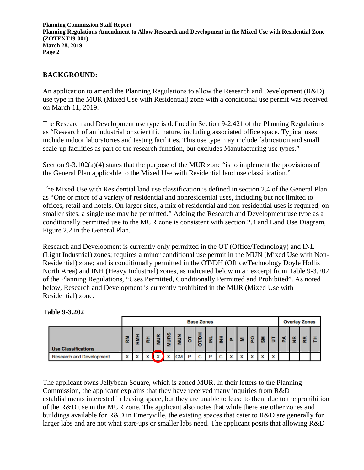**Planning Commission Staff Report Planning Regulations Amendment to Allow Research and Development in the Mixed Use with Residential Zone (ZOTEXT19-001) March 28, 2019 Page 2** 

# **BACKGROUND:**

An application to amend the Planning Regulations to allow the Research and Development (R&D) use type in the MUR (Mixed Use with Residential) zone with a conditional use permit was received on March 11, 2019.

The Research and Development use type is defined in Section 9-2.421 of the Planning Regulations as "Research of an industrial or scientific nature, including associated office space. Typical uses include indoor laboratories and testing facilities. This use type may include fabrication and small scale-up facilities as part of the research function, but excludes Manufacturing use types."

Section 9-3.102(a)(4) states that the purpose of the MUR zone "is to implement the provisions of the General Plan applicable to the Mixed Use with Residential land use classification."

The Mixed Use with Residential land use classification is defined in section 2.4 of the General Plan as "One or more of a variety of residential and nonresidential uses, including but not limited to offices, retail and hotels. On larger sites, a mix of residential and non-residential uses is required; on smaller sites, a single use may be permitted." Adding the Research and Development use type as a conditionally permitted use to the MUR zone is consistent with section 2.4 and Land Use Diagram, Figure 2.2 in the General Plan.

Research and Development is currently only permitted in the OT (Office/Technology) and INL (Light Industrial) zones; requires a minor conditional use permit in the MUN (Mixed Use with Non-Residential) zone; and is conditionally permitted in the OT/DH (Office/Technology Doyle Hollis North Area) and INH (Heavy Industrial) zones, as indicated below in an excerpt from Table 9-3.202 of the Planning Regulations, "Uses Permitted, Conditionally Permitted and Prohibited". As noted below, Research and Development is currently prohibited in the MUR (Mixed Use with Residential) zone.

# **Table 9-3.202**

|                                 |              | <b>Base Zones</b> |  |                           |                           |           | <b>Overlay Zones</b> |        |   |  |                          |                          |  |  |  |
|---------------------------------|--------------|-------------------|--|---------------------------|---------------------------|-----------|----------------------|--------|---|--|--------------------------|--------------------------|--|--|--|
| <b>Use Classifications</b>      |              | ᄒ                 |  |                           | ဖာ<br>-                   |           |                      | −<br>O |   |  |                          |                          |  |  |  |
| <b>Research and Development</b> | $\checkmark$ | $\checkmark$      |  | $\checkmark$<br>$\lambda$ | $\checkmark$<br>$\lambda$ | <b>CM</b> | P                    | с      | D |  | $\overline{\phantom{a}}$ | $\overline{\phantom{a}}$ |  |  |  |

The applicant owns Jellybean Square, which is zoned MUR. In their letters to the Planning Commission, the applicant explains that they have received many inquiries from R&D establishments interested in leasing space, but they are unable to lease to them due to the prohibition of the R&D use in the MUR zone. The applicant also notes that while there are other zones and buildings available for R&D in Emeryville, the existing spaces that cater to R&D are generally for larger labs and are not what start-ups or smaller labs need. The applicant posits that allowing R&D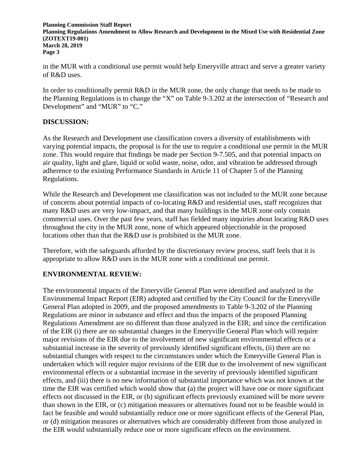**Planning Commission Staff Report Planning Regulations Amendment to Allow Research and Development in the Mixed Use with Residential Zone (ZOTEXT19-001) March 28, 2019 Page 3** 

in the MUR with a conditional use permit would help Emeryville attract and serve a greater variety of R&D uses.

In order to conditionally permit R&D in the MUR zone, the only change that needs to be made to the Planning Regulations is to change the "X" on Table 9-3.202 at the intersection of "Research and Development" and "MUR" to "C."

# **DISCUSSION:**

As the Research and Development use classification covers a diversity of establishments with varying potential impacts, the proposal is for the use to require a conditional use permit in the MUR zone. This would require that findings be made per Section 9-7.505, and that potential impacts on air quality, light and glare, liquid or solid waste, noise, odor, and vibration be addressed through adherence to the existing Performance Standards in Article 11 of Chapter 5 of the Planning Regulations.

While the Research and Development use classification was not included to the MUR zone because of concerns about potential impacts of co-locating R&D and residential uses, staff recognizes that many R&D uses are very low-impact, and that many buildings in the MUR zone only contain commercial uses. Over the past few years, staff has fielded many inquiries about locating R&D uses throughout the city in the MUR zone, none of which appeared objectionable in the proposed locations other than that the R&D use is prohibited in the MUR zone.

Therefore, with the safeguards afforded by the discretionary review process, staff feels that it is appropriate to allow R&D uses in the MUR zone with a conditional use permit.

# **ENVIRONMENTAL REVIEW:**

The environmental impacts of the Emeryville General Plan were identified and analyzed in the Environmental Impact Report (EIR) adopted and certified by the City Council for the Emeryville General Plan adopted in 2009, and the proposed amendments to Table 9-3.202 of the Planning Regulations are minor in substance and effect and thus the impacts of the proposed Planning Regulations Amendment are no different than those analyzed in the EIR; and since the certification of the EIR (i) there are no substantial changes in the Emeryville General Plan which will require major revisions of the EIR due to the involvement of new significant environmental effects or a substantial increase in the severity of previously identified significant effects, (ii) there are no substantial changes with respect to the circumstances under which the Emeryville General Plan is undertaken which will require major revisions of the EIR due to the involvement of new significant environmental effects or a substantial increase in the severity of previously identified significant effects, and (iii) there is no new information of substantial importance which was not known at the time the EIR was certified which would show that (a) the project will have one or more significant effects not discussed in the EIR, or (b) significant effects previously examined will be more severe than shown in the EIR, or (c) mitigation measures or alternatives found not to be feasible would in fact be feasible and would substantially reduce one or more significant effects of the General Plan, or (d) mitigation measures or alternatives which are considerably different from those analyzed in the EIR would substantially reduce one or more significant effects on the environment.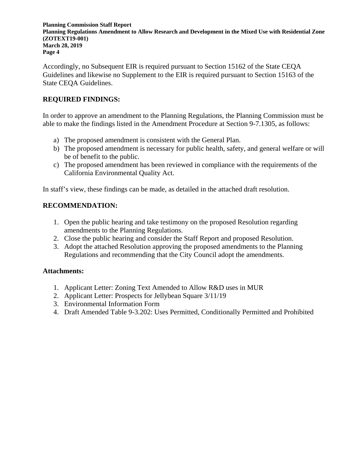**Planning Commission Staff Report Planning Regulations Amendment to Allow Research and Development in the Mixed Use with Residential Zone (ZOTEXT19-001) March 28, 2019 Page 4** 

Accordingly, no Subsequent EIR is required pursuant to Section 15162 of the State CEQA Guidelines and likewise no Supplement to the EIR is required pursuant to Section 15163 of the State CEQA Guidelines.

# **REQUIRED FINDINGS:**

In order to approve an amendment to the Planning Regulations, the Planning Commission must be able to make the findings listed in the Amendment Procedure at Section 9-7.1305, as follows:

- a) The proposed amendment is consistent with the General Plan.
- b) The proposed amendment is necessary for public health, safety, and general welfare or will be of benefit to the public.
- c) The proposed amendment has been reviewed in compliance with the requirements of the California Environmental Quality Act.

In staff's view, these findings can be made, as detailed in the attached draft resolution.

# **RECOMMENDATION:**

- 1. Open the public hearing and take testimony on the proposed Resolution regarding amendments to the Planning Regulations.
- 2. Close the public hearing and consider the Staff Report and proposed Resolution.
- 3. Adopt the attached Resolution approving the proposed amendments to the Planning Regulations and recommending that the City Council adopt the amendments.

# **Attachments:**

- 1. Applicant Letter: Zoning Text Amended to Allow R&D uses in MUR
- 2. Applicant Letter: Prospects for Jellybean Square 3/11/19
- 3. Environmental Information Form
- 4. Draft Amended Table 9-3.202: Uses Permitted, Conditionally Permitted and Prohibited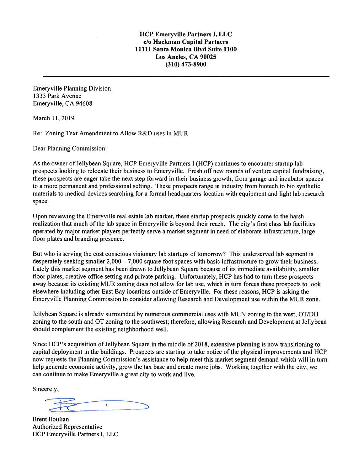**Emeryville Planning Division** 1333 Park Avenue Emeryville, CA 94608

March 11, 2019

Re: Zoning Text Amendment to Allow R&D uses in MUR

Dear Planning Commission:

As the owner of Jellybean Square, HCP Emeryville Partners I (HCP) continues to encounter startup lab prospects looking to relocate their business to Emeryville. Fresh off new rounds of venture capital fundraising, these prospects are eager take the next step forward in their business growth; from garage and incubator spaces to a more permanent and professional setting. These prospects range in industry from biotech to bio synthetic materials to medical devices searching for a formal headquarters location with equipment and light lab research space.

Upon reviewing the Emeryville real estate lab market, these startup prospects quickly come to the harsh realization that much of the lab space in Emeryville is beyond their reach. The city's first class lab facilities operated by major market players perfectly serve a market segment in need of elaborate infrastructure, large floor plates and branding presence.

But who is serving the cost conscious visionary lab startups of tomorrow? This underserved lab segment is desperately seeking smaller  $2,000 - 7,000$  square foot spaces with basic infrastructure to grow their business. Lately this market segment has been drawn to Jellybean Square because of its immediate availability, smaller floor plates, creative office setting and private parking. Unfortunately, HCP has had to turn these prospects away because its existing MUR zoning does not allow for lab use, which in turn forces these prospects to look elsewhere including other East Bay locations outside of Emeryville. For these reasons, HCP is asking the Emeryville Planning Commission to consider allowing Research and Development use within the MUR zone.

Jellybean Square is already surrounded by numerous commercial uses with MUN zoning to the west, OT/DH zoning to the south and OT zoning to the southwest; therefore, allowing Research and Development at Jellybean should complement the existing neighborhood well.

Since HCP's acquisition of Jellybean Square in the middle of 2018, extensive planning is now transitioning to capital deployment in the buildings. Prospects are starting to take notice of the physical improvements and HCP now requests the Planning Commission's assistance to help meet this market segment demand which will in turn help generate economic activity, grow the tax base and create more jobs. Working together with the city, we can continue to make Emeryville a great city to work and live.

Sincerely,

 $\mathbf{V}$  and  $\mathbf{V}$ 

**Brent Iloulian** Authorized Representative HCP Emeryville Partners I, LLC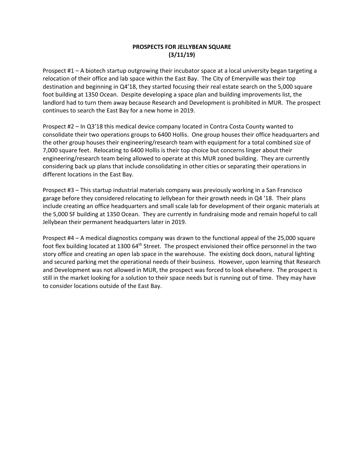#### **PROSPECTS FOR JELLYBEAN SQUARE (3/11/19)**

Prospect #1 – A biotech startup outgrowing their incubator space at a local university began targeting a relocation of their office and lab space within the East Bay. The City of Emeryville was their top destination and beginning in Q4'18, they started focusing their real estate search on the 5,000 square foot building at 1350 Ocean. Despite developing a space plan and building improvements list, the landlord had to turn them away because Research and Development is prohibited in MUR. The prospect continues to search the East Bay for a new home in 2019.

Prospect #2 – In Q3'18 this medical device company located in Contra Costa County wanted to consolidate their two operations groups to 6400 Hollis. One group houses their office headquarters and the other group houses their engineering/research team with equipment for a total combined size of 7,000 square feet. Relocating to 6400 Hollis is their top choice but concerns linger about their engineering/research team being allowed to operate at this MUR zoned building. They are currently considering back up plans that include consolidating in other cities or separating their operations in different locations in the East Bay.

Prospect #3 – This startup industrial materials company was previously working in a San Francisco garage before they considered relocating to Jellybean for their growth needs in Q4 '18. Their plans include creating an office headquarters and small scale lab for development of their organic materials at the 5,000 SF building at 1350 Ocean. They are currently in fundraising mode and remain hopeful to call Jellybean their permanent headquarters later in 2019.

Prospect #4 – A medical diagnostics company was drawn to the functional appeal of the 25,000 square foot flex building located at 1300 64<sup>th</sup> Street. The prospect envisioned their office personnel in the two story office and creating an open lab space in the warehouse. The existing dock doors, natural lighting and secured parking met the operational needs of their business. However, upon learning that Research and Development was not allowed in MUR, the prospect was forced to look elsewhere. The prospect is still in the market looking for a solution to their space needs but is running out of time. They may have to consider locations outside of the East Bay.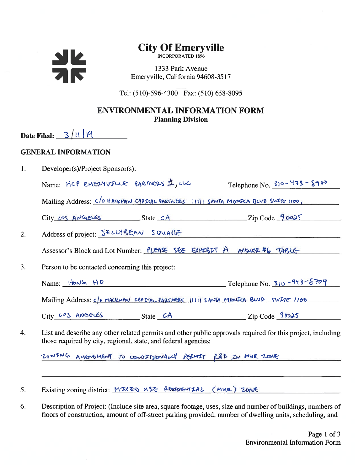

# **City Of Emeryville**

INCORPORATED 1896

1333 Park Avenue Emeryville, California 94608-3517

Tel: (510)-596-4300 Fax: (510) 658-8095

# **ENVIRONMENTAL INFORMATION FORM Planning Division**

Date Filed:  $3/11/9$ 

# **GENERAL INFORMATION**

 $\mathbf{1}$ . Developer(s)/Project Sponsor(s):

| Name: HCP EMERYVILLE PARTNERS 1, LLC |  | Telephone No. $310 - 473 - 8900$ |
|--------------------------------------|--|----------------------------------|
|                                      |  |                                  |

Mailing Address: C/O HACKMAN CAPIERL PARTNERS 11111 SANTA MONICA BLUD SWITE 1100,

Address of project: JELUIREAN SQUARE  $2.$ Assessor's Block and Lot Number: PLEASE SEE EXHIBIT A ANSUCE #6 TABLE 3. Person to be contacted concerning this project:

Name:  $\frac{1-\frac{1}{2}0.46}{10}$  + 10

Mailing Address: c/o MACKWAN CAPITAL RABINERS 11111 SANTA MONJECA BUVD SWITC 1100

City LOS ANGELES State CA Zip Code 90025

4. List and describe any other related permits and other public approvals required for this project, including those required by city, regional, state, and federal agencies:

ZONING AMENOMENT TO COMBITIONALLY PERMIT RED IN MUR ZONE

- 5. Existing zoning district: MIXED USE RESPONSIAL (MUR) ZONE
- Description of Project: (Include site area, square footage, uses, size and number of buildings, numbers of 6. floors of construction, amount of off-street parking provided, number of dwelling units, scheduling, and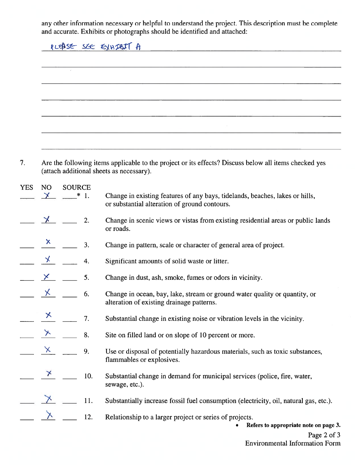any other information necessary or helpful to understand the project. This description must be complete and accurate. Exhibits or photographs should be identified and attached:

RLEASE SEE EXHIBIT A

| Are the following items applicable to the project or its effects? Discuss below all items checked yes |
|-------------------------------------------------------------------------------------------------------|
| (attach additional sheets as necessary).                                                              |

| <b>YES</b> | N <sub>O</sub><br>$\times$ | <b>SOURCE</b><br>$*1.$ | Change in existing features of any bays, tidelands, beaches, lakes or hills,<br>or substantial alteration of ground contours. |
|------------|----------------------------|------------------------|-------------------------------------------------------------------------------------------------------------------------------|
|            | $\chi$                     | 2.                     | Change in scenic views or vistas from existing residential areas or public lands<br>or roads.                                 |
|            |                            | $x =$<br>3.            | Change in pattern, scale or character of general area of project.                                                             |
|            | $\overline{\mathbf{x}}$    | 4.                     | Significant amounts of solid waste or litter.                                                                                 |
|            | $\times$ $\times$          | 5.                     | Change in dust, ash, smoke, fumes or odors in vicinity.                                                                       |
|            | $\times$                   | 6.                     | Change in ocean, bay, lake, stream or ground water quality or quantity, or<br>alteration of existing drainage patterns.       |
|            |                            | $x =$<br>7.            | Substantial change in existing noise or vibration levels in the vicinity.                                                     |
|            | $\lambda$                  | 8.                     | Site on filled land or on slope of 10 percent or more.                                                                        |
|            |                            | 9.                     | Use or disposal of potentially hazardous materials, such as toxic substances,<br>flammables or explosives.                    |
|            | $\star$                    | 10.                    | Substantial change in demand for municipal services (police, fire, water,<br>sewage, etc.).                                   |
|            |                            | 11.                    | Substantially increase fossil fuel consumption (electricity, oil, natural gas, etc.).                                         |
|            |                            | 12.                    | Relationship to a larger project or series of projects.<br>Refers to appropriate note on page 3.                              |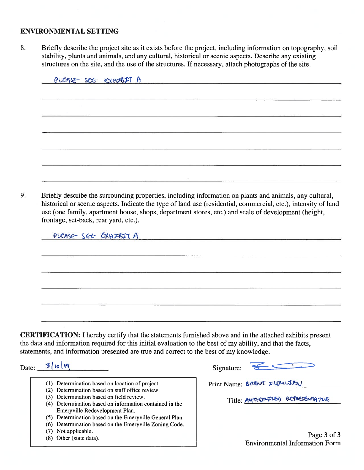# **ENVIRONMENTAL SETTING**

Briefly describe the project site as it exists before the project, including information on topography, soil stability, plants and animals, and any cultural, historical or scenic aspects. Describe any existing structures o 8.

|    | PUCASE SEE EXHAST A                                                                                                                                                                                                                                                                                                                                                       |                                                      |
|----|---------------------------------------------------------------------------------------------------------------------------------------------------------------------------------------------------------------------------------------------------------------------------------------------------------------------------------------------------------------------------|------------------------------------------------------|
|    |                                                                                                                                                                                                                                                                                                                                                                           |                                                      |
|    |                                                                                                                                                                                                                                                                                                                                                                           |                                                      |
|    |                                                                                                                                                                                                                                                                                                                                                                           |                                                      |
| 9. | Briefly describe the surrounding properties, including information on plants and animals, any cultural,<br>historical or scenic aspects. Indicate the type of land use (residential, commercial, etc.), intensity of land<br>use (one family, apartment house, shops, department stores, etc.) and scale of development (height,<br>frontage, set-back, rear yard, etc.). |                                                      |
|    | PLEASE SEE EXHIBIT A                                                                                                                                                                                                                                                                                                                                                      |                                                      |
|    |                                                                                                                                                                                                                                                                                                                                                                           |                                                      |
|    |                                                                                                                                                                                                                                                                                                                                                                           |                                                      |
|    |                                                                                                                                                                                                                                                                                                                                                                           |                                                      |
|    |                                                                                                                                                                                                                                                                                                                                                                           |                                                      |
|    | <b>CERTIFICATION:</b> I hereby certify that the statements furnished above and in the attached exhibits present<br>the data and information required for this initial evaluation to the best of my ability, and that the facts,<br>statements, and information presented are true and correct to the best of my knowledge.                                                |                                                      |
|    | Date: 3  io q                                                                                                                                                                                                                                                                                                                                                             | Signature: $\epsilon$                                |
|    | (1) Determination based on location of project<br>(2) Determination based on staff office review.                                                                                                                                                                                                                                                                         | Print Name: BRENT ILOULIAN                           |
|    | (3) Determination based on field review.<br>(4) Determination based on information contained in the<br>Emeryville Redevelopment Plan.                                                                                                                                                                                                                                     | Title: AUTHORIZED ROPRESENTATIVE                     |
|    | (5) Determination based on the Emeryville General Plan.<br>(6) Determination based on the Emeryville Zoning Code.<br>(7) Not applicable.                                                                                                                                                                                                                                  |                                                      |
|    | (8) Other (state data).                                                                                                                                                                                                                                                                                                                                                   | Page 3 of 3<br><b>Environmental Information Form</b> |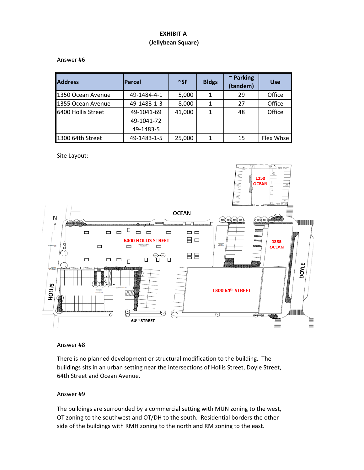## **EXHIBIT A (Jellybean Square)**

#### Answer #6

| <b>Address</b>     | <b>Parcel</b> | $\sim$ SF | <b>Bldgs</b> | $~\sim$ Parking<br>(tandem) | <b>Use</b> |
|--------------------|---------------|-----------|--------------|-----------------------------|------------|
| 1350 Ocean Avenue  | 49-1484-4-1   | 5,000     | 1            | 29                          | Office     |
| 1355 Ocean Avenue  | 49-1483-1-3   | 8,000     | 1            | 27                          | Office     |
| 6400 Hollis Street | 49-1041-69    | 41,000    | 1            | 48                          | Office     |
|                    | 49-1041-72    |           |              |                             |            |
|                    | 49-1483-5     |           |              |                             |            |
| 1300 64th Street   | 49-1483-1-5   | 25,000    |              | 15                          | Flex Whse  |

Site Layout:



#### Answer #8

There is no planned development or structural modification to the building. The buildings sits in an urban setting near the intersections of Hollis Street, Doyle Street, 64th Street and Ocean Avenue.

#### Answer #9

The buildings are surrounded by a commercial setting with MUN zoning to the west, OT zoning to the southwest and OT/DH to the south. Residential borders the other side of the buildings with RMH zoning to the north and RM zoning to the east.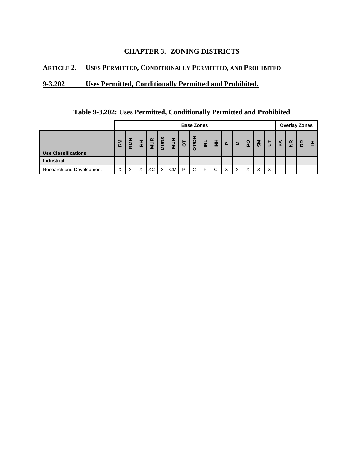# **CHAPTER 3. ZONING DISTRICTS**

# **ARTICLE 2. USES PERMITTED, CONDITIONALLY PERMITTED, AND PROHIBITED**

# **9-3.202 Uses Permitted, Conditionally Permitted and Prohibited.**

|                                 |                   | <b>Base Zones</b> |   |            |             |            |   | <b>Overlay Zones</b> |   |                  |   |   |                |              |                |              |                          |    |  |
|---------------------------------|-------------------|-------------------|---|------------|-------------|------------|---|----------------------|---|------------------|---|---|----------------|--------------|----------------|--------------|--------------------------|----|--|
| <b>Use Classifications</b>      | <b>N</b>          | <b>RMH</b>        | 준 | <b>MUR</b> | <b>MURS</b> | <b>NUM</b> | 5 | <b>OT/DH</b>         | 붙 | $\overline{\Xi}$ | ட | Σ | $\overline{c}$ | ន៑           | $\overline{5}$ | $\mathbf{A}$ | $\widetilde{\mathbf{z}}$ | RR |  |
| <b>Industrial</b>               |                   |                   |   |            |             |            |   |                      |   |                  |   |   |                |              |                |              |                          |    |  |
| <b>Research and Development</b> | $\checkmark$<br>⋏ | X                 | X | ХC         |             | <b>CM</b>  | P | ⌒<br>◡               | P | C                | X |   |                | $\checkmark$ | X              |              |                          |    |  |

# **Table 9-3.202: Uses Permitted, Conditionally Permitted and Prohibited**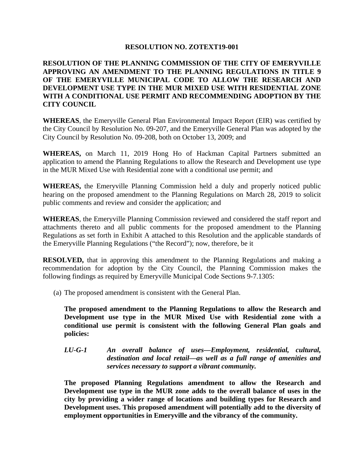#### **RESOLUTION NO. ZOTEXT19-001**

## **RESOLUTION OF THE PLANNING COMMISSION OF THE CITY OF EMERYVILLE APPROVING AN AMENDMENT TO THE PLANNING REGULATIONS IN TITLE 9 OF THE EMERYVILLE MUNICIPAL CODE TO ALLOW THE RESEARCH AND DEVELOPMENT USE TYPE IN THE MUR MIXED USE WITH RESIDENTIAL ZONE WITH A CONDITIONAL USE PERMIT AND RECOMMENDING ADOPTION BY THE CITY COUNCIL**

**WHEREAS**, the Emeryville General Plan Environmental Impact Report (EIR) was certified by the City Council by Resolution No. 09-207, and the Emeryville General Plan was adopted by the City Council by Resolution No. 09-208, both on October 13, 2009; and

**WHEREAS,** on March 11, 2019 Hong Ho of Hackman Capital Partners submitted an application to amend the Planning Regulations to allow the Research and Development use type in the MUR Mixed Use with Residential zone with a conditional use permit; and

**WHEREAS,** the Emeryville Planning Commission held a duly and properly noticed public hearing on the proposed amendment to the Planning Regulations on March 28, 2019 to solicit public comments and review and consider the application; and

**WHEREAS**, the Emeryville Planning Commission reviewed and considered the staff report and attachments thereto and all public comments for the proposed amendment to the Planning Regulations as set forth in Exhibit A attached to this Resolution and the applicable standards of the Emeryville Planning Regulations ("the Record"); now, therefore, be it

**RESOLVED,** that in approving this amendment to the Planning Regulations and making a recommendation for adoption by the City Council, the Planning Commission makes the following findings as required by Emeryville Municipal Code Sections 9-7.1305:

(a) The proposed amendment is consistent with the General Plan.

**The proposed amendment to the Planning Regulations to allow the Research and Development use type in the MUR Mixed Use with Residential zone with a conditional use permit is consistent with the following General Plan goals and policies:**

*LU-G-1 An overall balance of uses—Employment, residential, cultural, destination and local retail—as well as a full range of amenities and services necessary to support a vibrant community.*

**The proposed Planning Regulations amendment to allow the Research and Development use type in the MUR zone adds to the overall balance of uses in the city by providing a wider range of locations and building types for Research and Development uses. This proposed amendment will potentially add to the diversity of employment opportunities in Emeryville and the vibrancy of the community.**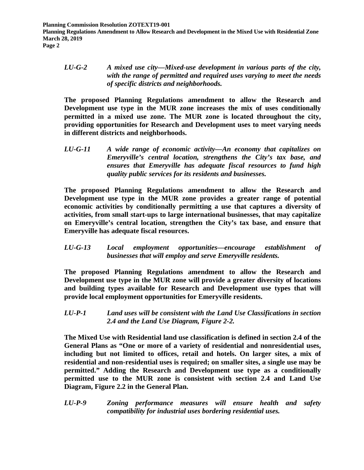**Planning Commission Resolution ZOTEXT19-001 Planning Regulations Amendment to Allow Research and Development in the Mixed Use with Residential Zone March 28, 2019 Page 2**

*LU-G-2 A mixed use city—Mixed-use development in various parts of the city, with the range of permitted and required uses varying to meet the needs of specific districts and neighborhoods.*

**The proposed Planning Regulations amendment to allow the Research and Development use type in the MUR zone increases the mix of uses conditionally permitted in a mixed use zone. The MUR zone is located throughout the city, providing opportunities for Research and Development uses to meet varying needs in different districts and neighborhoods.**

*LU-G-11 A wide range of economic activity—An economy that capitalizes on Emeryville's central location, strengthens the City's tax base, and ensures that Emeryville has adequate fiscal resources to fund high quality public services for its residents and businesses.*

**The proposed Planning Regulations amendment to allow the Research and Development use type in the MUR zone provides a greater range of potential economic activities by conditionally permitting a use that captures a diversity of activities, from small start-ups to large international businesses, that may capitalize on Emeryville's central location, strengthen the City's tax base, and ensure that Emeryville has adequate fiscal resources.** 

*LU-G-13 Local employment opportunities—encourage establishment of businesses that will employ and serve Emeryville residents.*

**The proposed Planning Regulations amendment to allow the Research and Development use type in the MUR zone will provide a greater diversity of locations and building types available for Research and Development use types that will provide local employment opportunities for Emeryville residents.** 

*LU-P-1 Land uses will be consistent with the Land Use Classifications in section 2.4 and the Land Use Diagram, Figure 2-2.*

**The Mixed Use with Residential land use classification is defined in section 2.4 of the General Plans as "One or more of a variety of residential and nonresidential uses, including but not limited to offices, retail and hotels. On larger sites, a mix of residential and non-residential uses is required; on smaller sites, a single use may be permitted." Adding the Research and Development use type as a conditionally permitted use to the MUR zone is consistent with section 2.4 and Land Use Diagram, Figure 2.2 in the General Plan.**

*LU-P-9 Zoning performance measures will ensure health and safety compatibility for industrial uses bordering residential uses.*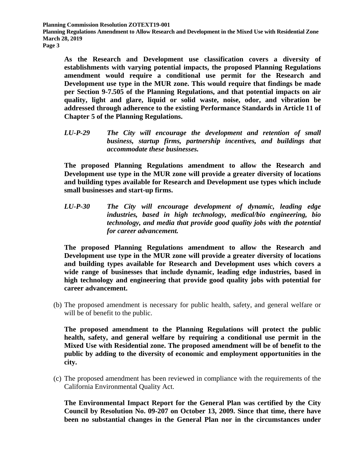**Planning Commission Resolution ZOTEXT19-001 Planning Regulations Amendment to Allow Research and Development in the Mixed Use with Residential Zone March 28, 2019 Page 3**

**As the Research and Development use classification covers a diversity of establishments with varying potential impacts, the proposed Planning Regulations amendment would require a conditional use permit for the Research and Development use type in the MUR zone. This would require that findings be made per Section 9-7.505 of the Planning Regulations, and that potential impacts on air quality, light and glare, liquid or solid waste, noise, odor, and vibration be addressed through adherence to the existing Performance Standards in Article 11 of Chapter 5 of the Planning Regulations.**

*LU-P-29 The City will encourage the development and retention of small business, startup firms, partnership incentives, and buildings that accommodate these businesses.*

**The proposed Planning Regulations amendment to allow the Research and Development use type in the MUR zone will provide a greater diversity of locations and building types available for Research and Development use types which include small businesses and start-up firms.** 

*LU-P-30 The City will encourage development of dynamic, leading edge industries, based in high technology, medical/bio engineering, bio technology, and media that provide good quality jobs with the potential for career advancement.*

**The proposed Planning Regulations amendment to allow the Research and Development use type in the MUR zone will provide a greater diversity of locations and building types available for Research and Development uses which covers a wide range of businesses that include dynamic, leading edge industries, based in high technology and engineering that provide good quality jobs with potential for career advancement.** 

(b) The proposed amendment is necessary for public health, safety, and general welfare or will be of benefit to the public.

**The proposed amendment to the Planning Regulations will protect the public health, safety, and general welfare by requiring a conditional use permit in the Mixed Use with Residential zone. The proposed amendment will be of benefit to the public by adding to the diversity of economic and employment opportunities in the city.**

(c) The proposed amendment has been reviewed in compliance with the requirements of the California Environmental Quality Act.

**The Environmental Impact Report for the General Plan was certified by the City Council by Resolution No. 09-207 on October 13, 2009. Since that time, there have been no substantial changes in the General Plan nor in the circumstances under**